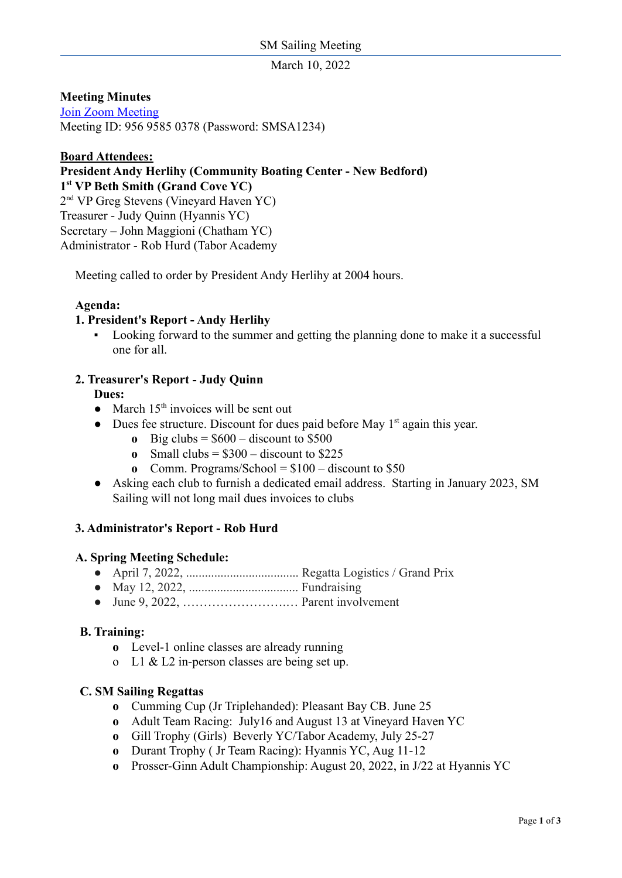March 10, 2022

**Meeting Minutes**

[Join Zoom Meeting](https://zoom.us/j/97631974935?pwd=WGhBekQrVWhGTThvWm9LUWw4a1lkZz09) Meeting ID: 956 9585 0378 (Password: SMSA1234)

## **Board Attendees:**

**President Andy Herlihy (Community Boating Center - New Bedford) 1 st VP Beth Smith (Grand Cove YC)** 2 nd VP Greg Stevens (Vineyard Haven YC) Treasurer - Judy Quinn (Hyannis YC) Secretary – John Maggioni (Chatham YC) Administrator - Rob Hurd (Tabor Academy

Meeting called to order by President Andy Herlihy at 2004 hours.

### **Agenda:**

### **1. President's Report - Andy Herlihy**

▪ Looking forward to the summer and getting the planning done to make it a successful one for all.

### **2. Treasurer's Report - Judy Quinn**

**Dues:**

- March 15<sup>th</sup> invoices will be sent out
- Dues fee structure. Discount for dues paid before May 1<sup>st</sup> again this year.
	- **o** Big clubs =  $$600$  discount to  $$500$
	- **o** Small clubs =  $$300$  discount to  $$225$
	- **o** Comm. Programs/School = \$100 discount to \$50
- Asking each club to furnish a dedicated email address. Starting in January 2023, SM Sailing will not long mail dues invoices to clubs

## **3. Administrator's Report - Rob Hurd**

### **A. Spring Meeting Schedule:**

- April 7, 2022, .................................... Regatta Logistics / Grand Prix
- May 12, 2022, ................................... Fundraising
- June 9, 2022, …………………….… Parent involvement

### **B. Training:**

- **o** Level-1 online classes are already running
- o L1 & L2 in-person classes are being set up.

### **C. SM Sailing Regattas**

- **o** Cumming Cup (Jr Triplehanded): Pleasant Bay CB. June 25
- **o** Adult Team Racing: July16 and August 13 at Vineyard Haven YC
- **o** Gill Trophy (Girls) Beverly YC/Tabor Academy, July 25-27
- **o** Durant Trophy ( Jr Team Racing): Hyannis YC, Aug 11-12
- **o** Prosser-Ginn Adult Championship: August 20, 2022, in J/22 at Hyannis YC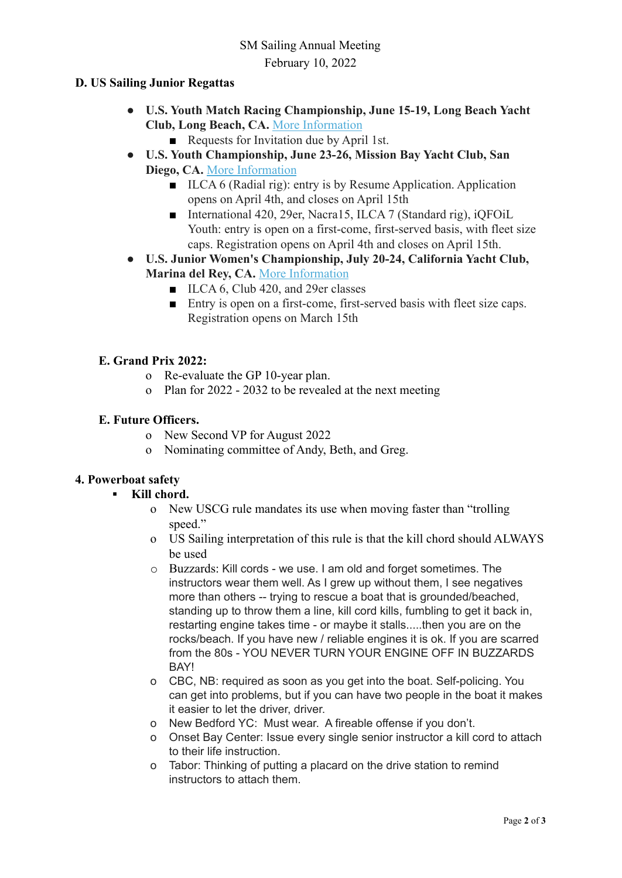# **D. US Sailing Junior Regattas**

- **● U.S. Youth Match Racing Championship, June 15-19, Long Beach Yacht Club, Long Beach, CA.** [More Information](https://ussailing.us1.list-manage.com/track/click?u=9e7179c6be5d4ffc7b83d82dc&id=aff85fc844&e=1b43b0e9d9)
	- Requests for Invitation due by April 1st.
- **● U.S. Youth Championship, June 23-26, Mission Bay Yacht Club, San Diego, CA.** [More Information](https://ussailing.us1.list-manage.com/track/click?u=9e7179c6be5d4ffc7b83d82dc&id=74b5ed1389&e=1b43b0e9d9)
	- ILCA 6 (Radial rig): entry is by Resume Application. Application opens on April 4th, and closes on April 15th
	- International 420, 29er, Nacra15, ILCA 7 (Standard rig), iOFOiL Youth: entry is open on a first-come, first-served basis, with fleet size caps. Registration opens on April 4th and closes on April 15th.
- **● U.S. Junior Women's Championship, July 20-24, California Yacht Club, Marina del Rey, CA.** [More Information](https://ussailing.us1.list-manage.com/track/click?u=9e7179c6be5d4ffc7b83d82dc&id=494d3a22b6&e=1b43b0e9d9)
	- ILCA 6, Club 420, and 29er classes
	- Entry is open on a first-come, first-served basis with fleet size caps. Registration opens on March 15th

## **E. Grand Prix 2022:**

- o Re-evaluate the GP 10-year plan.
- o Plan for 2022 2032 to be revealed at the next meeting

### **E. Future Officers.**

- o New Second VP for August 2022
- o Nominating committee of Andy, Beth, and Greg.

## **4. Powerboat safety**

## **▪ Kill chord.**

- o New USCG rule mandates its use when moving faster than "trolling speed."
- o US Sailing interpretation of this rule is that the kill chord should ALWAYS be used
- o Buzzards: Kill cords we use. I am old and forget sometimes. The instructors wear them well. As I grew up without them, I see negatives more than others -- trying to rescue a boat that is grounded/beached, standing up to throw them a line, kill cord kills, fumbling to get it back in, restarting engine takes time - or maybe it stalls.....then you are on the rocks/beach. If you have new / reliable engines it is ok. If you are scarred from the 80s - YOU NEVER TURN YOUR ENGINE OFF IN BUZZARDS BAY!
- o CBC, NB: required as soon as you get into the boat. Self-policing. You can get into problems, but if you can have two people in the boat it makes it easier to let the driver, driver.
- o New Bedford YC: Must wear. A fireable offense if you don't.
- o Onset Bay Center: Issue every single senior instructor a kill cord to attach to their life instruction.
- o Tabor: Thinking of putting a placard on the drive station to remind instructors to attach them.